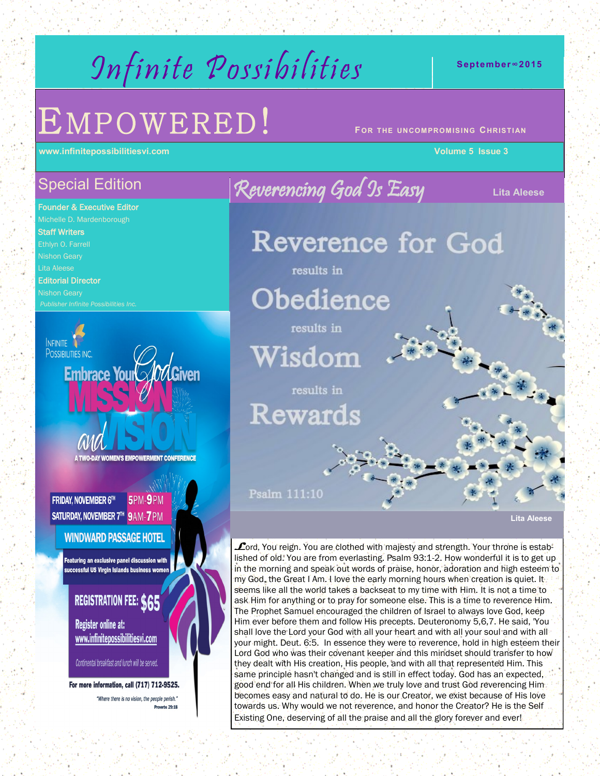# Infinite Possibilities

# $EMPOWERED!$

**www.infinitepossibilitiesvi.com Volume 5 Issue 3**

## Special Edition

Founder & Executive Editor Michelle D. Mardenborough Staff Writers Nishon Geary Lita Aleese Editorial Director

Nishon Geary

**INFINITE POSSIBILITIES INC.** Embrace Your Add Given

**A TWO-DAY WOMEN'S EMPOWERMENT CONFERENCE** 

5PM-9PM **FRIDAY, NOVEMBER 6TH** SATURDAY, NOVEMBER 7<sup>th</sup> 9AM-7PM

### **WINDWARD PASSAGE HOTEL**

Featuring an exclusive panel discussion with successful US Virgin Islands business women

## REGISTRATION FEE: \$65

**Register online at:** www.infinitepossibilitiesvi.com

Continental breakfast and lunch will be served.

For more information, call (717) 712-9525. "Where there is no vision, the people perish."

Reverencing God Is Easy **Lita Aleese** Reverence for God results in Obedience results in Wisdom results in **Rewards** Psalm 111:10

**Lita Aleese** 

**L**ord, You reign. You are clothed with majesty and strength. Your throne is established of old. You are from everlasting. Psalm 93:1-2. How wonderful it is to get up in the morning and speak out words of praise, honor, adoration and high esteem to my God, the Great I Am. I love the early morning hours when creation is quiet. It seems like all the world takes a backseat to my time with Him. It is not a time to ask Him for anything or to pray for someone else. This is a time to reverence Him. The Prophet Samuel encouraged the children of Israel to always love God, keep Him ever before them and follow His precepts. Deuteronomy 5,6,7. He said, 'You shall love the Lord your God with all your heart and with all your soul and with all your might. Deut. 6:5. In essence they were to reverence, hold in high esteem their Lord God who was their covenant keeper and this mindset should transfer to how they dealt with His creation, His people, and with all that represented Him. This same principle hasn't changed and is still in effect today. God has an expected, good end for all His children. When we truly love and trust God reverencing Him becomes easy and natural to do. He is our Creator, we exist because of His love towards us. Why would we not reverence, and honor the Creator? He is the Self Existing One, deserving of all the praise and all the glory forever and ever!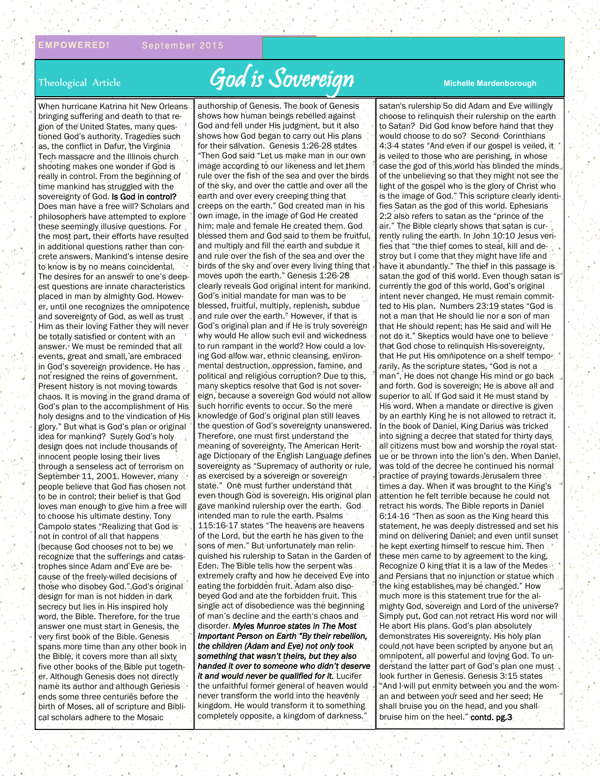# Theological Article **God is Sovereign** Michelle Mardenborough

When hurricane Katrina hit New Orleans bringing suffering and death to that region of the United States, many questioned God's authority. Tragedies such as, the conflict in Dafur, the Virginia Tech massacre and the Illinois church shooting makes one wonder if God is really in control. From the beginning of time mankind has struggled with the sovereignty of God. Is God in control? Does man have a free will? Scholars and philosophers have attempted to explore these seemingly illusive questions. For the most part, their efforts have resulted in additional questions rather than concrete answers. Mankind's intense desire to know is by no means coincidental. The desires for an answer to one's deepest questions are innate characteristics placed in man by almighty God. However, until one recognizes the omnipotence and sovereignty of God, as well as trust Him as their loving Father they will never be totally satisfied or content with an answer. We must be reminded that all events, great and small, are embraced in God's sovereign providence. He has not resigned the reins of government. Present history is not moving towards chaos. It is moving in the grand drama of God's plan to the accomplishment of His holy designs and to the vindication of His glory." But what is God's plan or original idea for mankind? Surely God's holy design does not include thousands of innocent people losing their lives through a senseless act of terrorism on September 11, 2001. However, many people believe that God has chosen not to be in control; their belief is that God loves man enough to give him a free will to choose his ultimate destiny. Tony Campolo states "Realizing that God isnot in control of all that happens (because God chooses not to be) we recognize that the sufferings and catastrophes since Adam and Eve are because of the freely-willed decisions of those who disobey God." God's original design for man is not hidden in dark secrecy but lies in His inspired holy word, the Bible. Therefore, for the true answer one must start in Genesis, the very first book of the Bible. Genesis spans more time than any other book in the Bible, it covers more than all sixty five other books of the Bible put together. Although Genesis does not directly name its author and although Genesis ends some three centuries before the birth of Moses, all of scripture and Biblical scholars adhere to the Mosaic

authorship of Genesis. The book of Genesis shows how human beings rebelled against God and fell under His judgment, but it also shows how God began to carry out His plans for their salvation. Genesis 1:26-28 states "Then God said "Let us make man in our own image according to our likeness and let them rule over the fish of the sea and over the birds of the sky, and over the cattle and over all the earth and over every creeping thing that creeps on the earth." God created man in his own image, in the image of God He created him; male and female He created them. God blessed them and God said to them be fruitful, and multiply and fill the earth and subdue it and rule over the fish of the sea and over the birds of the sky and over every living thing that moves upon the earth." Genesis 1:26-28 clearly reveals God original intent for mankind. God's initial mandate for man was to be blessed, fruitful, multiply, replenish, subdue and rule over the earth." However, if that is God's original plan and if He is truly sovereign why would He allow such evil and wickedness to run rampant in the world? How could a loving God allow war, ethnic cleansing, environmental destruction, oppression, famine, and political and religious corruption? Due to this, many skeptics resolve that God is not sovereign, because a sovereign God would not allow such horrific events to occur. So the mere knowledge of God's original plan still leaves the question of God's sovereignty unanswered. Therefore, one must first understand the meaning of sovereignty. The American Heritage Dictionary of the English Language defines sovereignty as "Supremacy of authority or rule. as exercised by a sovereign or sovereign state." One must further understand that even though God is sovereign, His original plan gave mankind rulership over the earth. God intended man to rule the earth. Psalms 115:16-17 states "The heavens are heavens of the Lord, but the earth he has given to the sons of men." But unfortunately man relinquished his rulership to Satan in the Garden of Eden. The Bible tells how the serpent was extremely crafty and how he deceived Eve into eating the forbidden fruit. Adam also disobeyed God and ate the forbidden fruit. This single act of disobedience was the beginning of man's decline and the earth's chaos and disorder. *Myles Munroe states in The Most Important Person on Earth "By their rebellion, the children (Adam and Eve) not only took something that wasn't theirs, but they also handed it over to someone who didn't deserve it and would never be qualified for it.* Lucifer the unfaithful former general of heaven would never transform the world into the heavenly kingdom. He would transform it to something completely opposite, a kingdom of darkness."

satan's rulership So did Adam and Eve willingly choose to relinquish their rulership on the earth to Satan? Did God know before hand that they would choose to do so? Second Corinthians 4:3-4 states "And even if our gospel is veiled, it is veiled to those who are perishing, in whose case the god of this world has blinded the minds of the unbelieving so that they might not see the light of the gospel who is the glory of Christ who is the image of God." This scripture clearly identifies Satan as the god of this world. Ephesians 2:2 also refers to satan as the "prince of the air." The Bible clearly shows that satan is currently ruling the earth. In John 10:10 Jesus verifies that "the thief comes to steal, kill and destroy but I come that they might have life and have it abundantly." The thief in this passage is satan the god of this world. Even though satan is currently the god of this world, God's original intent never changed, He must remain committed to His plan. Numbers 23:19 states "God is not a man that He should lie nor a son of man that He should repent; has He said and will He not do it." Skeptics would have one to believe that God chose to relinquish His sovereignty, that He put His omnipotence on a shelf temporarily. As the scripture states, "God is not a man", He does not change His mind or go back and forth. God is sovereign; He is above all and superior to all. If God said it He must stand by His word. When a mandate or directive is given by an earthly King he is not allowed to retract it. In the book of Daniel, King Darius was tricked into signing a decree that stated for thirty days all citizens must bow and worship the royal statue or be thrown into the lion's den. When Daniel was told of the decree he continued his normal practice of praying towards Jerusalem three times a day. When it was brought to the King's attention he felt terrible because he could not retract his words. The Bible reports in Daniel 6:14-16 "Then as soon as the King heard this statement, he was deeply distressed and set his mind on delivering Daniel; and even until sunset he kept exerting himself to rescue him. Then these men came to by agreement to the king, Recognize O king that it is a law of the Medes and Persians that no injunction or statue which the king establishes may be changed." How much more is this statement true for the almighty God, sovereign and Lord of the universe? Simply put, God can not retract His word nor will He abort His plans. God's plan absolutely demonstrates His sovereignty. His holy plan could not have been scripted by anyone but an omnipotent, all powerful and loving God. To understand the latter part of God's plan one must look further in Genesis. Genesis 3:15 states "And I will put enmity between you and the woman and between your seed and her seed; He shall bruise you on the head, and you shall bruise him on the heel." contd. pg.3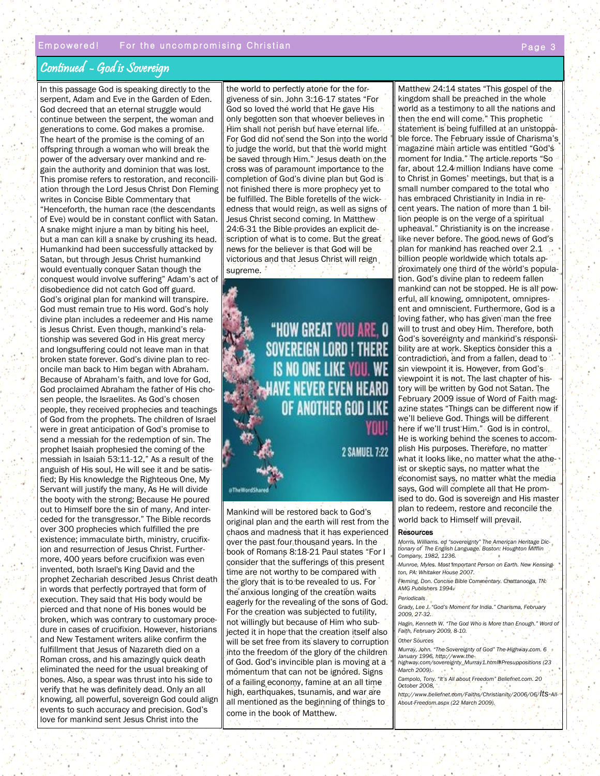#### Continued - God is Sovereign

In this passage God is speaking directly to the serpent, Adam and Eve in the Garden of Eden. God decreed that an eternal struggle would continue between the serpent, the woman and generations to come. God makes a promise. The heart of the promise is the coming of an offspring through a woman who will break the power of the adversary over mankind and regain the authority and dominion that was lost. This promise refers to restoration, and reconciliation through the Lord Jesus Christ Don Fleming writes in Concise Bible Commentary that "Henceforth, the human race (the descendants of Eve) would be in constant conflict with Satan. A snake might injure a man by biting his heel, but a man can kill a snake by crushing its head. Humankind had been successfully attacked by Satan, but through Jesus Christ humankind would eventually conquer Satan though the conquest would involve suffering" Adam's act of disobedience did not catch God off guard. God's original plan for mankind will transpire. God must remain true to His word. God's holy divine plan includes a redeemer and His name is Jesus Christ. Even though, mankind's relationship was severed God in His great mercy and longsuffering could not leave man in that broken state forever. God's divine plan to reconcile man back to Him began with Abraham. Because of Abraham's faith, and love for God, God proclaimed Abraham the father of His chosen people, the Israelites. As God's chosen people, they received prophecies and teachings of God from the prophets. The children of Israel were in great anticipation of God's promise to send a messiah for the redemption of sin. The prophet Isaiah prophesied the coming of the messiah in Isaiah 53:11-12," As a result of the anguish of His soul, He will see it and be satisfied; By His knowledge the Righteous One, My Servant will justify the many, As He will divide the booty with the strong; Because He poured out to Himself bore the sin of many, And interceded for the transgressor." The Bible records over 300 prophecies which fulfilled the pre existence; immaculate birth, ministry, crucifixion and resurrection of Jesus Christ. Furthermore, 400 years before crucifixion was even invented, both Israel's King David and the prophet Zechariah described Jesus Christ death in words that perfectly portrayed that form of execution. They said that His body would be pierced and that none of His bones would be broken, which was contrary to customary procedure in cases of crucifixion. However, historians and New Testament writers alike confirm the fulfillment that Jesus of Nazareth died on a Roman cross, and his amazingly quick death eliminated the need for the usual breaking of bones. Also, a spear was thrust into his side to verify that he was definitely dead. Only an all knowing, all powerful, sovereign God could align events to such accuracy and precision. God's love for mankind sent Jesus Christ into the

the world to perfectly atone for the forgiveness of sin. John 3:16-17 states "For God so loved the world that He gave His only begotten son that whoever believes in Him shall not perish but have eternal life. For God did not send the Son into the world to judge the world, but that the world might be saved through Him." Jesus death on the cross was of paramount importance to the completion of God's divine plan but God is not finished there is more prophecy yet to be fulfilled. The Bible foretells of the wickedness that would reign, as well as signs of Jesus Christ second coming. In Matthew 24:6-31 the Bible provides an explicit description of what is to come. But the great news for the believer is that God will be victorious and that Jesus Christ will reign supreme.

> "HOW GREAT YOU ARE, O **SOVEREIGN LORD! THERE** IS NO ONE LIKE YOU. WE **AVE NEVER EVEN HE.** OF ANOTHER GOD LIKE

> > **2 SAMUEL 7:22**

a The Word Share

Mankind will be restored back to God's original plan and the earth will rest from the chaos and madness that it has experienced over the past four thousand years. In the book of Romans 8:18-21 Paul states "For I consider that the sufferings of this present time are not worthy to be compared with the glory that is to be revealed to us. For the anxious longing of the creation waits eagerly for the revealing of the sons of God. For the creation was subjected to futility, not willingly but because of Him who subjected it in hope that the creation itself also will be set free from its slavery to corruption into the freedom of the glory of the children of God. God's invincible plan is moving at a momentum that can not be ignored. Signs of a failing economy, famine at an all time high, earthquakes, tsunamis, and war are all mentioned as the beginning of things to come in the book of Matthew.

Matthew 24:14 states "This gospel of the kingdom shall be preached in the whole world as a testimony to all the nations and then the end will come." This prophetic statement is being fulfilled at an unstoppable force. The February issue of Charisma's magazine main article was entitled "God's moment for India." The article reports "So far, about 12.4 million Indians have come to Christ in Gomes' meetings, but that is a small number compared to the total who has embraced Christianity in India in recent years. The nation of more than 1 billion people is on the verge of a spiritual upheaval." Christianity is on the increase like never before. The good news of God's plan for mankind has reached over 2.1 billion people worldwide which totals approximately one third of the world's population. God's divine plan to redeem fallen mankind can not be stopped. He is all powerful, all knowing, omnipotent, omnipresent and omniscient. Furthermore, God is a loving father, who has given man the free will to trust and obey Him. Therefore, both God's sovereignty and mankind's responsibility are at work. Skeptics consider this a contradiction, and from a fallen, dead to sin viewpoint it is. However, from God's viewpoint it is not. The last chapter of history will be written by God not Satan. The February 2009 issue of Word of Faith magazine states "Things can be different now if we'll believe God. Things will be different here if we'll trust Him." God is in control, He is working behind the scenes to accomplish His purposes. Therefore, no matter what it looks like, no matter what the atheist or skeptic says, no matter what the economist says, no matter what the media says, God will complete all that He promised to do. God is sovereign and His master plan to redeem, restore and reconcile the world back to Himself will prevail.

#### Resources

*Morris, Williams. ed "sovereignty" The American Heritage Dictionary of The English Language. Boston: Houghton Mifflin Company, 1982, 1236. Munroe, Myles. Most Important Person on Earth. New Kensington, PA: Whitaker House 2007. Fleming, Don. Concise Bible Commentary. Chattanooga, TN: AMG Publishers 1994. Periodicals Grady, Lee J. "God's Moment for India." Charisma, February 2009, 27-32.* Hagin, Kenneth W. "The God Who is More than Enough." Word of *Faith, February 2009, 8-10.*

*Other Sources*

*Murray, John. "The Sovereignty of God" The-Highway.com. 6 January 1996, http://www.thehighway.com/sovereignty\_Murray1.html#Presuppositions (23* 

*March 2009). Campolo, Tony. "It's All about Freedom" Beliefnet.com. 20* 

*October 2008,* 

*http://www.beliefnet.com/Faiths/Christianity/2006/06/Its-All-About-Freedom.aspx (22 March 2009).*